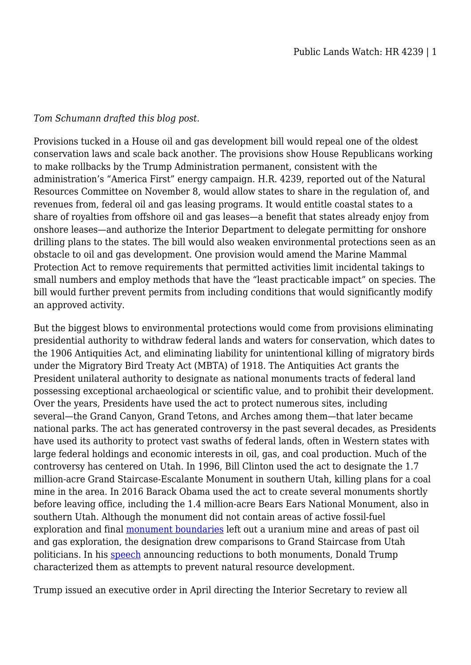## *Tom Schumann drafted this blog post.*

Provisions tucked in a House oil and gas development bill would repeal one of the oldest conservation laws and scale back another. The provisions show House Republicans working to make rollbacks by the Trump Administration permanent, consistent with the administration's "America First" energy campaign. H.R. 4239, reported out of the Natural Resources Committee on November 8, would allow states to share in the regulation of, and revenues from, federal oil and gas leasing programs. It would entitle coastal states to a share of royalties from offshore oil and gas leases—a benefit that states already enjoy from onshore leases—and authorize the Interior Department to delegate permitting for onshore drilling plans to the states. The bill would also weaken environmental protections seen as an obstacle to oil and gas development. One provision would amend the Marine Mammal Protection Act to remove requirements that permitted activities limit incidental takings to small numbers and employ methods that have the "least practicable impact" on species. The bill would further prevent permits from including conditions that would significantly modify an approved activity.

But the biggest blows to environmental protections would come from provisions eliminating presidential authority to withdraw federal lands and waters for conservation, which dates to the 1906 Antiquities Act, and eliminating liability for unintentional killing of migratory birds under the Migratory Bird Treaty Act (MBTA) of 1918. The Antiquities Act grants the President unilateral authority to designate as national monuments tracts of federal land possessing exceptional archaeological or scientific value, and to prohibit their development. Over the years, Presidents have used the act to protect numerous sites, including several—the Grand Canyon, Grand Tetons, and Arches among them—that later became national parks. The act has generated controversy in the past several decades, as Presidents have used its authority to protect vast swaths of federal lands, often in Western states with large federal holdings and economic interests in oil, gas, and coal production. Much of the controversy has centered on Utah. In 1996, Bill Clinton used the act to designate the 1.7 million-acre Grand Staircase-Escalante Monument in southern Utah, killing plans for a coal mine in the area. In 2016 Barack Obama used the act to create several monuments shortly before leaving office, including the 1.4 million-acre Bears Ears National Monument, also in southern Utah. Although the monument did not contain areas of active fossil-fuel exploration and final [monument boundaries](http://www.hcn.org/issues/49.1/was-the-bears-ears-designation-a-victory) left out a uranium mine and areas of past oil and gas exploration, the designation drew comparisons to Grand Staircase from Utah politicians. In his [speech](http://legal-planet.org/2017/12/04/president-trumps-national-monument-rollback-is-illegal-and-likely-to-be-reversed-in-court/) announcing reductions to both monuments, Donald Trump characterized them as attempts to prevent natural resource development.

Trump issued an executive order in April directing the Interior Secretary to review all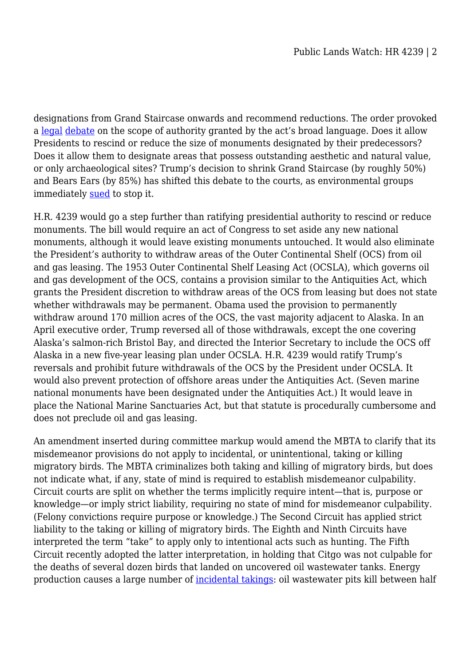designations from Grand Staircase onwards and recommend reductions. The order provoked a [legal](http://scholarship.law.berkeley.edu/facpubs/2829/) [debate](https://www.aei.org/wp-content/uploads/2017/03/Presidential-Authority-to-Revoke-or-Reduce-National-Monument-Designations.pdf) on the scope of authority granted by the act's broad language. Does it allow Presidents to rescind or reduce the size of monuments designated by their predecessors? Does it allow them to designate areas that possess outstanding aesthetic and natural value, or only archaeological sites? Trump's decision to shrink Grand Staircase (by roughly 50%) and Bears Ears (by 85%) has shifted this debate to the courts, as environmental groups immediately [sued](https://earthjustice.org/sites/default/files/files/Bears%20Ears%20complaint.pdf) to stop it.

H.R. 4239 would go a step further than ratifying presidential authority to rescind or reduce monuments. The bill would require an act of Congress to set aside any new national monuments, although it would leave existing monuments untouched. It would also eliminate the President's authority to withdraw areas of the Outer Continental Shelf (OCS) from oil and gas leasing. The 1953 Outer Continental Shelf Leasing Act (OCSLA), which governs oil and gas development of the OCS, contains a provision similar to the Antiquities Act, which grants the President discretion to withdraw areas of the OCS from leasing but does not state whether withdrawals may be permanent. Obama used the provision to permanently withdraw around 170 million acres of the OCS, the vast majority adjacent to Alaska. In an April executive order, Trump reversed all of those withdrawals, except the one covering Alaska's salmon-rich Bristol Bay, and directed the Interior Secretary to include the OCS off Alaska in a new five-year leasing plan under OCSLA. H.R. 4239 would ratify Trump's reversals and prohibit future withdrawals of the OCS by the President under OCSLA. It would also prevent protection of offshore areas under the Antiquities Act. (Seven marine national monuments have been designated under the Antiquities Act.) It would leave in place the National Marine Sanctuaries Act, but that statute is procedurally cumbersome and does not preclude oil and gas leasing.

An amendment inserted during committee markup would amend the MBTA to clarify that its misdemeanor provisions do not apply to incidental, or unintentional, taking or killing migratory birds. The MBTA criminalizes both taking and killing of migratory birds, but does not indicate what, if any, state of mind is required to establish misdemeanor culpability. Circuit courts are split on whether the terms implicitly require intent—that is, purpose or knowledge—or imply strict liability, requiring no state of mind for misdemeanor culpability. (Felony convictions require purpose or knowledge.) The Second Circuit has applied strict liability to the taking or killing of migratory birds. The Eighth and Ninth Circuits have interpreted the term "take" to apply only to intentional acts such as hunting. The Fifth Circuit recently adopted the latter interpretation, in holding that Citgo was not culpable for the deaths of several dozen birds that landed on uncovered oil wastewater tanks. Energy production causes a large number of [incidental takings:](https://www.fws.gov/birds/bird-enthusiasts/threats-to-birds.php) oil wastewater pits kill between half